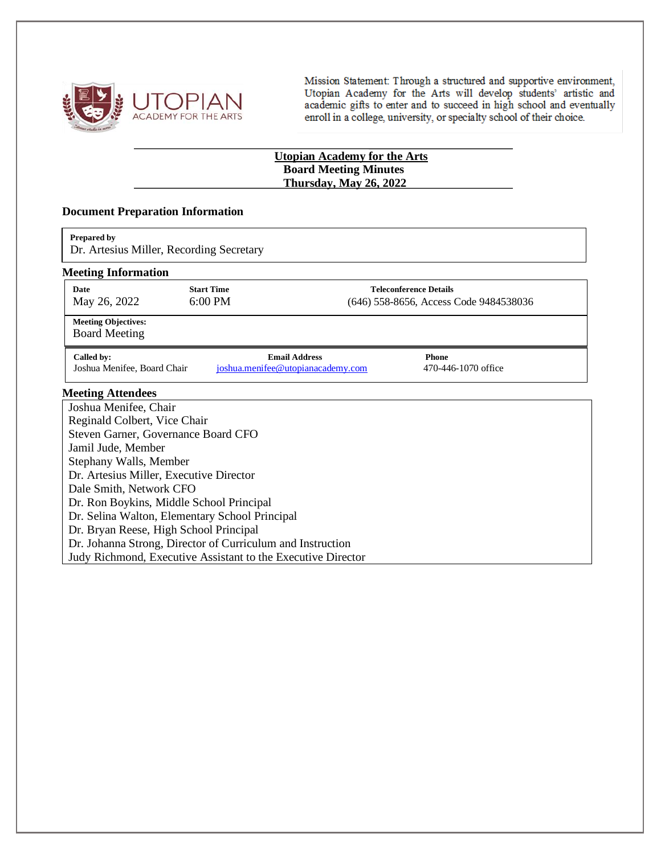

Mission Statement: Through a structured and supportive environment, Utopian Academy for the Arts will develop students' artistic and<br>academic gifts to enter and to succeed in high school and eventually enroll in a college, university, or specialty school of their choice.

## **Utopian Academy for the Arts Board Meeting Minutes Thursday, May 26, 2022**

#### **Document Preparation Information**

| Prepared by |  |
|-------------|--|
|             |  |

Dr. Artesius Miller, Recording Secretary

#### **Meeting Information**

| o<br>Date<br>May 26, 2022                          | <b>Start Time</b><br>$6:00 \text{ PM}$ | <b>Teleconference Details</b><br>(646) 558-8656, Access Code 9484538036 |
|----------------------------------------------------|----------------------------------------|-------------------------------------------------------------------------|
| <b>Meeting Objectives:</b><br><b>Board Meeting</b> |                                        |                                                                         |

**Called by: Email Address Phone**<br> **Called by: Phone**<br> **Called by: Phone**<br> **Called by: Email Address Phone**<br> **Phone**<br> **Called by: Called by: Phone**<br> **Called by: Called by: Called by: Called by: Calle** [joshua.menifee@utopianacademy.com](mailto:joshua.menifee@utopianacademy.com)

### **Meeting Attendees**

| Joshua Menifee, Chair                                        |
|--------------------------------------------------------------|
| Reginald Colbert, Vice Chair                                 |
| Steven Garner, Governance Board CFO                          |
| Jamil Jude, Member                                           |
| Stephany Walls, Member                                       |
| Dr. Artesius Miller, Executive Director                      |
| Dale Smith, Network CFO                                      |
| Dr. Ron Boykins, Middle School Principal                     |
| Dr. Selina Walton, Elementary School Principal               |
| Dr. Bryan Reese, High School Principal                       |
| Dr. Johanna Strong, Director of Curriculum and Instruction   |
| Judy Richmond, Executive Assistant to the Executive Director |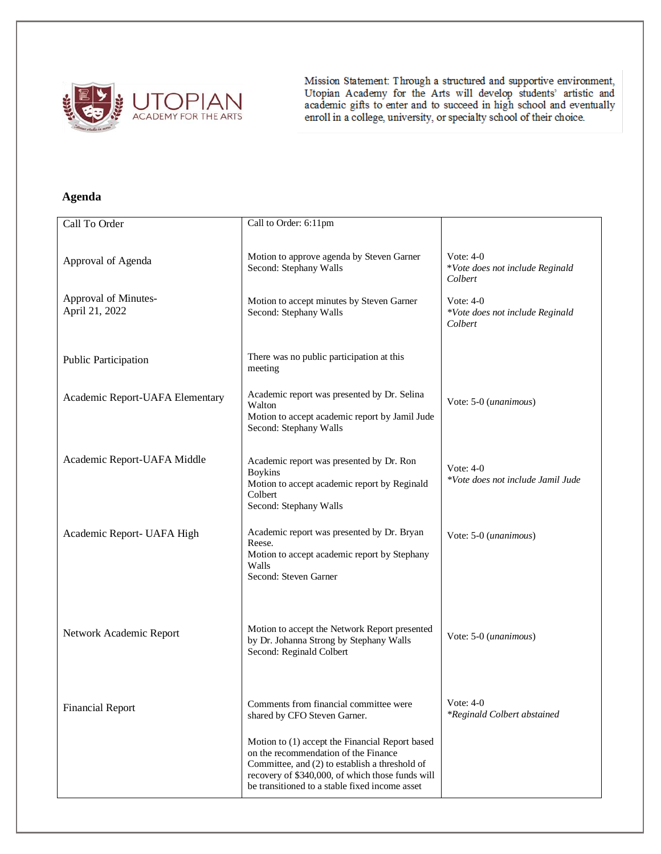

Mission Statement: Through a structured and supportive environment,<br>Utopian Academy for the Arts will develop students' artistic and<br>academic gifts to enter and to succeed in high school and eventually<br>enroll in a college,

# **Agenda**

| Call To Order                          | Call to Order: 6:11pm                                                                                                                                                                                                                           |                                                           |
|----------------------------------------|-------------------------------------------------------------------------------------------------------------------------------------------------------------------------------------------------------------------------------------------------|-----------------------------------------------------------|
| Approval of Agenda                     | Motion to approve agenda by Steven Garner<br>Second: Stephany Walls                                                                                                                                                                             | Vote: $4-0$<br>*Vote does not include Reginald<br>Colbert |
| Approval of Minutes-<br>April 21, 2022 | Motion to accept minutes by Steven Garner<br>Second: Stephany Walls                                                                                                                                                                             | Vote: $4-0$<br>*Vote does not include Reginald<br>Colbert |
| Public Participation                   | There was no public participation at this<br>meeting                                                                                                                                                                                            |                                                           |
| Academic Report-UAFA Elementary        | Academic report was presented by Dr. Selina<br>Walton<br>Motion to accept academic report by Jamil Jude<br>Second: Stephany Walls                                                                                                               | Vote: 5-0 (unanimous)                                     |
| Academic Report-UAFA Middle            | Academic report was presented by Dr. Ron<br><b>Boykins</b><br>Motion to accept academic report by Reginald<br>Colbert<br>Second: Stephany Walls                                                                                                 | Vote: $4-0$<br>*Vote does not include Jamil Jude          |
| Academic Report- UAFA High             | Academic report was presented by Dr. Bryan<br>Reese.<br>Motion to accept academic report by Stephany<br>Walls<br>Second: Steven Garner                                                                                                          | Vote: 5-0 (unanimous)                                     |
| Network Academic Report                | Motion to accept the Network Report presented<br>by Dr. Johanna Strong by Stephany Walls<br>Second: Reginald Colbert                                                                                                                            | Vote: 5-0 (unanimous)                                     |
| <b>Financial Report</b>                | Comments from financial committee were<br>shared by CFO Steven Garner.                                                                                                                                                                          | Vote: $4-0$<br>*Reginald Colbert abstained                |
|                                        | Motion to (1) accept the Financial Report based<br>on the recommendation of the Finance<br>Committee, and (2) to establish a threshold of<br>recovery of \$340,000, of which those funds will<br>be transitioned to a stable fixed income asset |                                                           |